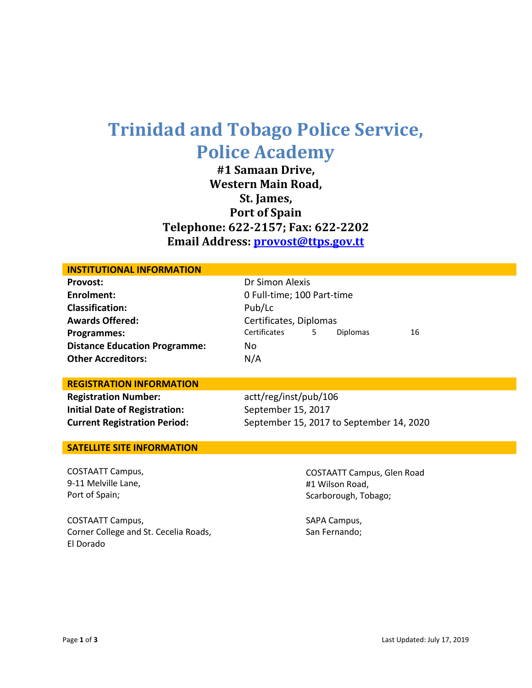## **Trinidad and Tobago Police Service, Police Academy**

**#1 Samaan Drive, Western Main Road, St. James, Port of Spain Telephone: 622-2157; Fax: 622-2202 Email Address: [provost@ttps.gov.tt](mailto:provost@ttps.gov.tt)**

| <b>INSTITUTIONAL INFORMATION</b>     |                                            |  |  |
|--------------------------------------|--------------------------------------------|--|--|
| <b>Provost:</b>                      | Dr Simon Alexis                            |  |  |
| Enrolment:                           | 0 Full-time; 100 Part-time                 |  |  |
| <b>Classification:</b>               | Pub/Lc                                     |  |  |
| <b>Awards Offered:</b>               | Certificates, Diplomas                     |  |  |
| <b>Programmes:</b>                   | Certificates<br><b>Diplomas</b><br>16<br>5 |  |  |
| <b>Distance Education Programme:</b> | No                                         |  |  |
| <b>Other Accreditors:</b>            | N/A                                        |  |  |
|                                      |                                            |  |  |
| <b>REGISTRATION INFORMATION</b>      |                                            |  |  |
| <b>Registration Number:</b>          | actt/reg/inst/pub/106                      |  |  |
| <b>Initial Date of Registration:</b> | September 15, 2017                         |  |  |
| <b>Current Registration Period:</b>  | September 15, 2017 to September 14, 2020   |  |  |
|                                      |                                            |  |  |
| <b>SATELLITE SITE INFORMATION</b>    |                                            |  |  |
|                                      |                                            |  |  |
| <b>COSTAATT Campus,</b>              | <b>COSTAATT Campus, Glen Road</b>          |  |  |
| 9-11 Melville Lane,                  | #1 Wilson Road,                            |  |  |
| Port of Spain;                       | Scarborough, Tobago;                       |  |  |
|                                      |                                            |  |  |
| COCTAATTCA                           | $CADA$ $Cana$                              |  |  |

COSTAATT Campus, Corner College and St. Cecelia Roads, El Dorado

SAPA Campus, San Fernando;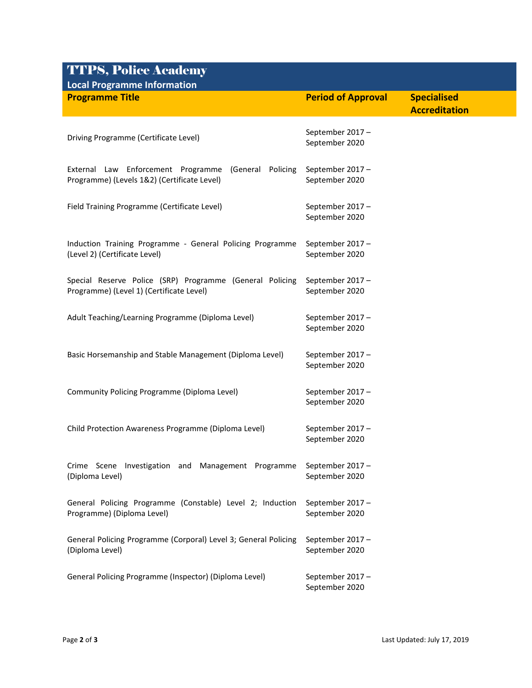## TTPS, Police Academy

| <b>Local Programme Information</b>                                                 |                                   |                      |  |  |
|------------------------------------------------------------------------------------|-----------------------------------|----------------------|--|--|
| <b>Programme Title</b>                                                             | <b>Period of Approval</b>         | <b>Specialised</b>   |  |  |
|                                                                                    |                                   | <b>Accreditation</b> |  |  |
|                                                                                    | September 2017-                   |                      |  |  |
| Driving Programme (Certificate Level)                                              | September 2020                    |                      |  |  |
|                                                                                    |                                   |                      |  |  |
| External Law Enforcement Programme (General Policing                               | September 2017-                   |                      |  |  |
| Programme) (Levels 1&2) (Certificate Level)                                        | September 2020                    |                      |  |  |
| Field Training Programme (Certificate Level)                                       | September 2017-                   |                      |  |  |
|                                                                                    | September 2020                    |                      |  |  |
|                                                                                    |                                   |                      |  |  |
| Induction Training Programme - General Policing Programme                          | September 2017 -                  |                      |  |  |
| (Level 2) (Certificate Level)                                                      | September 2020                    |                      |  |  |
| Special Reserve Police (SRP) Programme (General Policing                           | September 2017-                   |                      |  |  |
| Programme) (Level 1) (Certificate Level)                                           | September 2020                    |                      |  |  |
|                                                                                    |                                   |                      |  |  |
| Adult Teaching/Learning Programme (Diploma Level)                                  | September 2017-                   |                      |  |  |
|                                                                                    | September 2020                    |                      |  |  |
| Basic Horsemanship and Stable Management (Diploma Level)                           | September 2017-                   |                      |  |  |
|                                                                                    | September 2020                    |                      |  |  |
|                                                                                    |                                   |                      |  |  |
| Community Policing Programme (Diploma Level)                                       | September 2017-                   |                      |  |  |
|                                                                                    | September 2020                    |                      |  |  |
| Child Protection Awareness Programme (Diploma Level)                               | September 2017-                   |                      |  |  |
|                                                                                    | September 2020                    |                      |  |  |
|                                                                                    |                                   |                      |  |  |
| Crime Scene Investigation and Management Programme<br>(Diploma Level)              | September 2017-<br>September 2020 |                      |  |  |
|                                                                                    |                                   |                      |  |  |
| General Policing Programme (Constable) Level 2; Induction                          | September 2017-                   |                      |  |  |
| Programme) (Diploma Level)                                                         | September 2020                    |                      |  |  |
|                                                                                    |                                   |                      |  |  |
| General Policing Programme (Corporal) Level 3; General Policing<br>(Diploma Level) | September 2017-<br>September 2020 |                      |  |  |
|                                                                                    |                                   |                      |  |  |
| General Policing Programme (Inspector) (Diploma Level)                             | September 2017-                   |                      |  |  |
|                                                                                    | September 2020                    |                      |  |  |